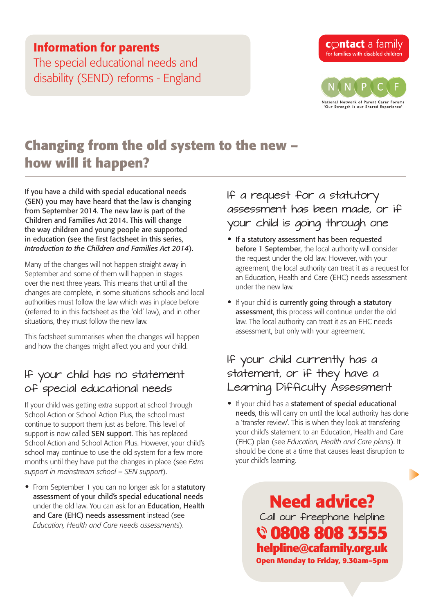## Information for parents

The special educational needs and disability (SEND) reforms - England



# **Changing from the old system to the new – how will it happen?**

If you have a child with special educational needs (SEN) you may have heard that the law is changing from September 2014. The new law is part of the Children and Families Act 2014. This will change the way children and young people are supported in education (see the first factsheet in this series, *[Introduction to the Children and Families Act 2014](http://www.cafamily.org.uk/media/779043/send_reforms_-_introduction_to_the_children_and_families_act_2014.pdf)*).

Many of the changes will not happen straight away in September and some of them will happen in stages over the next three years. This means that until all the changes are complete, in some situations schools and local authorities must follow the law which was in place before (referred to in this factsheet as the 'old' law), and in other situations, they must follow the new law.

This factsheet summarises when the changes will happen and how the changes might affect you and your child.

## If your child has no statement of special educational needs

If your child was getting extra support at school through School Action or School Action Plus, the school must continue to support them just as before. This level of support is now called SEN support. This has replaced School Action and School Action Plus. However, your child's school may continue to use the old system for a few more months until they have put the changes in place (see *[Extra](http://www.cafamily.org.uk/media/784832/send_reforms_-_extra_support_in_mainstream_school_-_sen_support_august_2014.pdf)  [support in mainstream school](http://www.cafamily.org.uk/media/784832/send_reforms_-_extra_support_in_mainstream_school_-_sen_support_august_2014.pdf)* – *SEN support*).

• From September 1 you can no longer ask for a statutory assessment of your child's special educational needs under the old law. You can ask for an Education, Health and Care (EHC) needs assessment instead (see *[Education, Health and Care needs assessment](http://www.cafamily.org.uk/media/784739/send_reforms_-_education_health_and_care_needs_assessments_august_2014.pdf)*s).

If a request for a statutory assessment has been made, or if your child is going through one

- If a statutory assessment has been requested before 1 September, the local authority will consider the request under the old law. However, with your agreement, the local authority can treat it as a request for an Education, Health and Care (EHC) needs assessment under the new law.
- If your child is currently going through a statutory assessment, this process will continue under the old law. The local authority can treat it as an EHC needs assessment, but only with your agreement.

## If your child currently has a statement, or if they have a Learning Difficulty Assessment

• If your child has a statement of special educational needs, this will carry on until the local authority has done a 'transfer review'. This is when they look at transfering your child's statement to an Education, Health and Care (EHC) plan (see *[Education, Health and Care plans](http://www.cafamily.org.uk/media/784706/send_reforms_-_education_health_and_care_plans_august_2014.pdf)*). It should be done at a time that causes least disruption to your child's learning.

> **Need advice?** Call our freephone helpline  **0808 808 3555 helpline@cafamily.org.uk Open Monday to Friday, 9.30am–5pm**